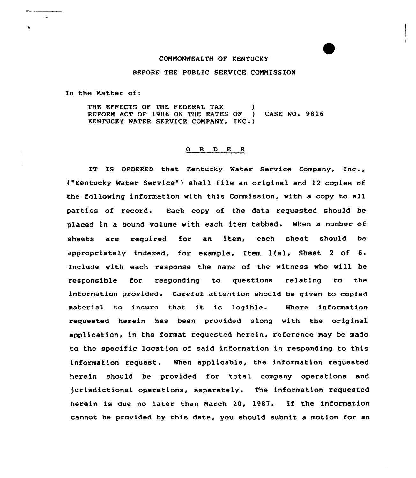## COMMONWEALTH OF KENTUCKY

## BEFORE THE PUBLIC SERVICE COMMISSION

In the Matter of:

THE EFFECTS OF THE FEDERAL TAX (a)<br>REFORM ACT OF 1986 ON THE RATES OF (a) CASE NO. 9816 REFORM ACT OF 1986 ON THE RATES OF KENTUCKY WATER SERVICE COMPANY, INC.)

## 0 <sup>R</sup> <sup>D</sup> <sup>E</sup> <sup>R</sup>

IT IS ORDERED that Kentucky Water Service Company, Inc., ("Kentucky Water Service") shall file an original and 12 copies of the following information with this Commission, with a copy to all parties of record. Each copy of the data requested should be placed in a bound volume with each item tabbed. When a number of sheets are required for an item, each sheet should be appropriately indexed, for example, Item  $l(a)$ , Sheet 2 of  $6$ . Include with each response the name of the witness who will be responsible for responding to questions relating to the information provided. Careful attention should be given to copied material to insure that it is legible. Where information requested herein has been provided along with the original application, in the format requested herein, reference may be made to the specific location of said information in responding to this information request. When applicable, the information requested herein should be provided for total company operations and jurisdictional operations, separately. The information requested herein is due no later than March 20, 1987. If the information cannot be provided by this date, you should submit a motion for an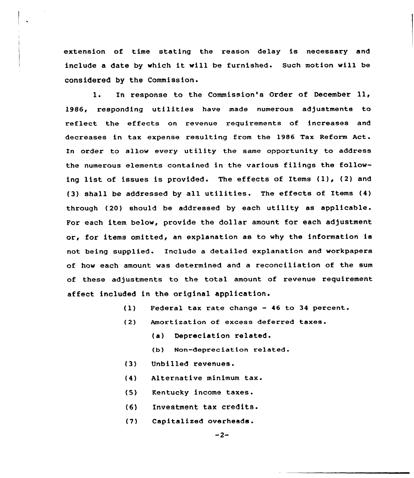extension of time stating the reason delay is necessary and include <sup>a</sup> date by which it will be furnished. Such motion will be considered by the Commission.

l. In response to the Commission's Order of December ll, 1986, responding utilities have made numerous adjustments to reflect the effects on revenue requirements of increases and decreases in tax expense resulting from the 1986 Tax Reform Act. In order to allow every utility the same opportunity to address the numerous elements contained in the various filings the following list of issues is provided. The effects of Items (1), (2) and (3) shall be addressed by all utilities. The effects of Items (4) through (20) should be addressed by each utility as applicable. For each item below, provide the dollar amount for each adjustment or, for items omitted, an explanation as to why the information is not being supplied. Include a detailed explanation and workpapers of how each amount was determined and a reconciliation of the sum of these adjustments to the total amount of revenue requirement affect included in the original application.

- $(1)$ Federal tax rate change — 46 to 34 percent.
- $(2)$ Amortization of excess deferred taxes.
	- (a) Depreciation related.
	- (b) Non-depreciation related.
- (3) Unbilled revenues.
- $(4)$ Alternative minimum tax.
- $(5)$ Kentucky income taxes.
- (6) Investment tax credits.
- (7) Capitalized overheads.